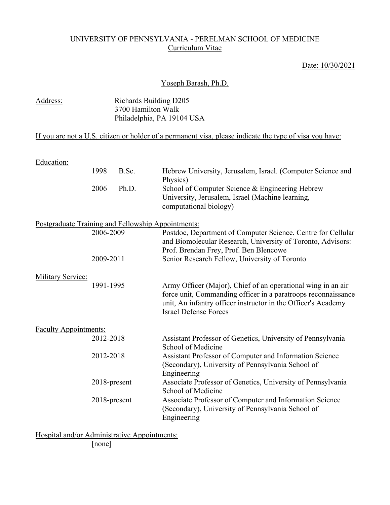# UNIVERSITY OF PENNSYLVANIA - PERELMAN SCHOOL OF MEDICINE Curriculum Vitae

## Date: 10/30/2021

#### Yoseph Barash, Ph.D.

| Address: | Richards Building D205     |
|----------|----------------------------|
|          | 3700 Hamilton Walk         |
|          | Philadelphia, PA 19104 USA |

# If you are not a U.S. citizen or holder of a permanent visa, please indicate the type of visa you have:

| <b>Education:</b>                                  |              |       |                                                                                                                                                                                                                                |
|----------------------------------------------------|--------------|-------|--------------------------------------------------------------------------------------------------------------------------------------------------------------------------------------------------------------------------------|
|                                                    | 1998         | B.Sc. | Hebrew University, Jerusalem, Israel. (Computer Science and<br>Physics)                                                                                                                                                        |
|                                                    | 2006         | Ph.D. | School of Computer Science & Engineering Hebrew<br>University, Jerusalem, Israel (Machine learning,<br>computational biology)                                                                                                  |
| Postgraduate Training and Fellowship Appointments: |              |       |                                                                                                                                                                                                                                |
|                                                    | 2006-2009    |       | Postdoc, Department of Computer Science, Centre for Cellular<br>and Biomolecular Research, University of Toronto, Advisors:<br>Prof. Brendan Frey, Prof. Ben Blencowe                                                          |
|                                                    | 2009-2011    |       | Senior Research Fellow, University of Toronto                                                                                                                                                                                  |
| <b>Military Service:</b>                           |              |       |                                                                                                                                                                                                                                |
|                                                    | 1991-1995    |       | Army Officer (Major), Chief of an operational wing in an air<br>force unit, Commanding officer in a paratroops reconnaissance<br>unit, An infantry officer instructor in the Officer's Academy<br><b>Israel Defense Forces</b> |
| <b>Faculty Appointments:</b>                       |              |       |                                                                                                                                                                                                                                |
|                                                    | 2012-2018    |       | Assistant Professor of Genetics, University of Pennsylvania<br>School of Medicine                                                                                                                                              |
|                                                    | 2012-2018    |       | Assistant Professor of Computer and Information Science<br>(Secondary), University of Pennsylvania School of<br>Engineering                                                                                                    |
|                                                    | 2018-present |       | Associate Professor of Genetics, University of Pennsylvania<br>School of Medicine                                                                                                                                              |
|                                                    | 2018-present |       | Associate Professor of Computer and Information Science<br>(Secondary), University of Pennsylvania School of<br>Engineering                                                                                                    |

Hospital and/or Administrative Appointments: [none]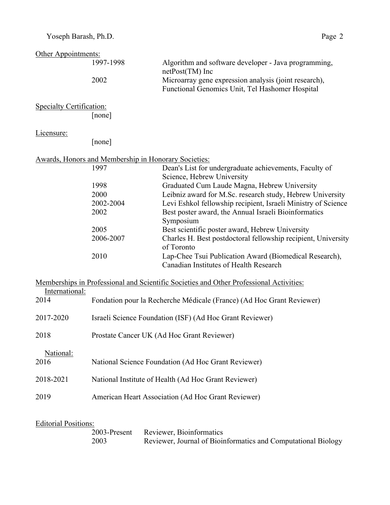| Other Appointments:             |                                                          |                                                                                                          |
|---------------------------------|----------------------------------------------------------|----------------------------------------------------------------------------------------------------------|
|                                 | 1997-1998                                                | Algorithm and software developer - Java programming,<br>netPost(TM) Inc                                  |
|                                 | 2002                                                     | Microarray gene expression analysis (joint research),<br>Functional Genomics Unit, Tel Hashomer Hospital |
| <b>Specialty Certification:</b> |                                                          |                                                                                                          |
|                                 | [none]                                                   |                                                                                                          |
| Licensure:                      |                                                          |                                                                                                          |
|                                 | [none]                                                   |                                                                                                          |
|                                 | Awards, Honors and Membership in Honorary Societies:     |                                                                                                          |
|                                 | 1997                                                     | Dean's List for undergraduate achievements, Faculty of<br>Science, Hebrew University                     |
|                                 | 1998                                                     | Graduated Cum Laude Magna, Hebrew University                                                             |
|                                 | 2000                                                     | Leibniz award for M.Sc. research study, Hebrew University                                                |
|                                 | 2002-2004                                                | Levi Eshkol fellowship recipient, Israeli Ministry of Science                                            |
|                                 | 2002                                                     | Best poster award, the Annual Israeli Bioinformatics<br>Symposium                                        |
|                                 | 2005                                                     | Best scientific poster award, Hebrew University                                                          |
|                                 | 2006-2007                                                | Charles H. Best postdoctoral fellowship recipient, University<br>of Toronto                              |
|                                 | 2010                                                     | Lap-Chee Tsui Publication Award (Biomedical Research),<br>Canadian Institutes of Health Research         |
|                                 |                                                          |                                                                                                          |
| International:                  |                                                          | Memberships in Professional and Scientific Societies and Other Professional Activities:                  |
| 2014                            |                                                          | Fondation pour la Recherche Médicale (France) (Ad Hoc Grant Reviewer)                                    |
| 2017-2020                       | Israeli Science Foundation (ISF) (Ad Hoc Grant Reviewer) |                                                                                                          |
| 2018                            | Prostate Cancer UK (Ad Hoc Grant Reviewer)               |                                                                                                          |
| National:                       |                                                          |                                                                                                          |
| 2016                            |                                                          | National Science Foundation (Ad Hoc Grant Reviewer)                                                      |
| 2018-2021                       | National Institute of Health (Ad Hoc Grant Reviewer)     |                                                                                                          |
| 2019                            |                                                          | American Heart Association (Ad Hoc Grant Reviewer)                                                       |
|                                 |                                                          |                                                                                                          |

# Editorial Positions:

|      | 2003-Present Reviewer, Bioinformatics                         |
|------|---------------------------------------------------------------|
| 2003 | Reviewer, Journal of Bioinformatics and Computational Biology |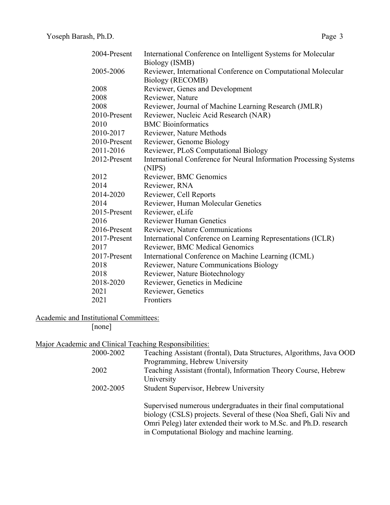| 2004-Present | International Conference on Intelligent Systems for Molecular      |
|--------------|--------------------------------------------------------------------|
|              | Biology (ISMB)                                                     |
| 2005-2006    | Reviewer, International Conference on Computational Molecular      |
|              | Biology (RECOMB)                                                   |
| 2008         | Reviewer, Genes and Development                                    |
| 2008         | Reviewer, Nature                                                   |
| 2008         | Reviewer, Journal of Machine Learning Research (JMLR)              |
| 2010-Present | Reviewer, Nucleic Acid Research (NAR)                              |
| 2010         | <b>BMC</b> Bioinformatics                                          |
| 2010-2017    | Reviewer, Nature Methods                                           |
| 2010-Present | Reviewer, Genome Biology                                           |
| 2011-2016    | Reviewer, PLoS Computational Biology                               |
| 2012-Present | International Conference for Neural Information Processing Systems |
|              | (NIPS)                                                             |
| 2012         | Reviewer, BMC Genomics                                             |
| 2014         | Reviewer, RNA                                                      |
| 2014-2020    | Reviewer, Cell Reports                                             |
| 2014         | Reviewer, Human Molecular Genetics                                 |
| 2015-Present | Reviewer, eLife                                                    |
| 2016         | <b>Reviewer Human Genetics</b>                                     |
| 2016-Present | Reviewer, Nature Communications                                    |
| 2017-Present | International Conference on Learning Representations (ICLR)        |
| 2017         | Reviewer, BMC Medical Genomics                                     |
| 2017-Present | International Conference on Machine Learning (ICML)                |
| 2018         | Reviewer, Nature Communications Biology                            |
| 2018         | Reviewer, Nature Biotechnology                                     |
| 2018-2020    | Reviewer, Genetics in Medicine                                     |
| 2021         | Reviewer, Genetics                                                 |
| 2021         | Frontiers                                                          |
|              |                                                                    |

Academic and Institutional Committees:

[none]

| Major Academic and Clinical Teaching Responsibilities: |                                                                                                                                                                                                                                                              |
|--------------------------------------------------------|--------------------------------------------------------------------------------------------------------------------------------------------------------------------------------------------------------------------------------------------------------------|
| 2000-2002                                              | Teaching Assistant (frontal), Data Structures, Algorithms, Java OOD                                                                                                                                                                                          |
|                                                        | Programming, Hebrew University                                                                                                                                                                                                                               |
| 2002                                                   | Teaching Assistant (frontal), Information Theory Course, Hebrew                                                                                                                                                                                              |
|                                                        | University                                                                                                                                                                                                                                                   |
| 2002-2005                                              | Student Supervisor, Hebrew University                                                                                                                                                                                                                        |
|                                                        | Supervised numerous undergraduates in their final computational<br>biology (CSLS) projects. Several of these (Noa Shefi, Gali Niv and<br>Omri Peleg) later extended their work to M.Sc. and Ph.D. research<br>in Computational Biology and machine learning. |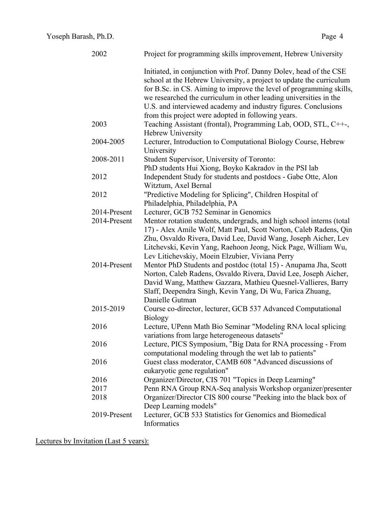| 2002         | Project for programming skills improvement, Hebrew University                                                                                                                                                                                                                                                                                                                                                |
|--------------|--------------------------------------------------------------------------------------------------------------------------------------------------------------------------------------------------------------------------------------------------------------------------------------------------------------------------------------------------------------------------------------------------------------|
|              | Initiated, in conjunction with Prof. Danny Dolev, head of the CSE<br>school at the Hebrew University, a project to update the curriculum<br>for B.Sc. in CS. Aiming to improve the level of programming skills,<br>we researched the curriculum in other leading universities in the<br>U.S. and interviewed academy and industry figures. Conclusions<br>from this project were adopted in following years. |
| 2003         | Teaching Assistant (frontal), Programming Lab, OOD, STL, C++-,<br>Hebrew University                                                                                                                                                                                                                                                                                                                          |
| 2004-2005    | Lecturer, Introduction to Computational Biology Course, Hebrew<br>University                                                                                                                                                                                                                                                                                                                                 |
| 2008-2011    | Student Supervisor, University of Toronto:<br>PhD students Hui Xiong, Boyko Kakradov in the PSI lab                                                                                                                                                                                                                                                                                                          |
| 2012         | Independent Study for students and postdocs - Gabe Otte, Alon<br>Witztum, Axel Bernal                                                                                                                                                                                                                                                                                                                        |
| 2012         | "Predictive Modeling for Splicing", Children Hospital of<br>Philadelphia, Philadelphia, PA                                                                                                                                                                                                                                                                                                                   |
| 2014-Present | Lecturer, GCB 752 Seminar in Genomics                                                                                                                                                                                                                                                                                                                                                                        |
| 2014-Present | Mentor rotation students, undergrads, and high school interns (total<br>17) - Alex Amile Wolf, Matt Paul, Scott Norton, Caleb Radens, Qin<br>Zhu, Osvaldo Rivera, David Lee, David Wang, Joseph Aicher, Lev<br>Litchevski, Kevin Yang, Raehoon Jeong, Nick Page, William Wu,<br>Lev Litichevskiy, Moein Elzubier, Viviana Perry                                                                              |
| 2014-Present | Mentor PhD Students and postdoc (total 15) - Anupama Jha, Scott<br>Norton, Caleb Radens, Osvaldo Rivera, David Lee, Joseph Aicher,<br>David Wang, Matthew Gazzara, Mathieu Quesnel-Vallieres, Barry<br>Slaff, Deependra Singh, Kevin Yang, Di Wu, Farica Zhuang,<br>Danielle Gutman                                                                                                                          |
| 2015-2019    | Course co-director, lecturer, GCB 537 Advanced Computational<br><b>Biology</b>                                                                                                                                                                                                                                                                                                                               |
| 2016         | Lecture, UPenn Math Bio Seminar "Modeling RNA local splicing<br>variations from large heterogeneous datasets"                                                                                                                                                                                                                                                                                                |
| 2016         | Lecture, PICS Symposium, "Big Data for RNA processing - From<br>computational modeling through the wet lab to patients"                                                                                                                                                                                                                                                                                      |
| 2016         | Guest class moderator, CAMB 608 "Advanced discussions of<br>eukaryotic gene regulation"                                                                                                                                                                                                                                                                                                                      |
| 2016         | Organizer/Director, CIS 701 "Topics in Deep Learning"                                                                                                                                                                                                                                                                                                                                                        |
| 2017         | Penn RNA Group RNA-Seq analysis Workshop organizer/presenter                                                                                                                                                                                                                                                                                                                                                 |
| 2018         | Organizer/Director CIS 800 course "Peeking into the black box of<br>Deep Learning models"                                                                                                                                                                                                                                                                                                                    |
| 2019-Present | Lecturer, GCB 533 Statistics for Genomics and Biomedical<br>Informatics                                                                                                                                                                                                                                                                                                                                      |

Lectures by Invitation (Last 5 years):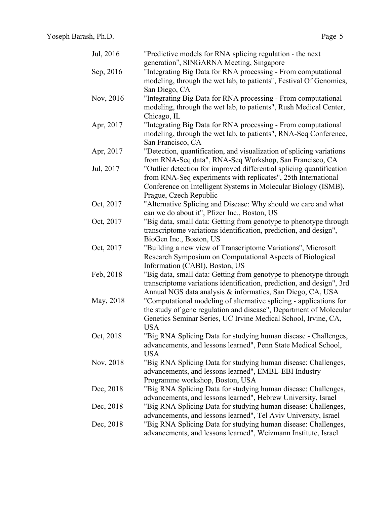| Jul, 2016 | "Predictive models for RNA splicing regulation - the next<br>generation", SINGARNA Meeting, Singapore |
|-----------|-------------------------------------------------------------------------------------------------------|
| Sep, 2016 | "Integrating Big Data for RNA processing - From computational                                         |
|           | modeling, through the wet lab, to patients", Festival Of Genomics,                                    |
|           | San Diego, CA                                                                                         |
| Nov, 2016 | "Integrating Big Data for RNA processing - From computational                                         |
|           | modeling, through the wet lab, to patients", Rush Medical Center,                                     |
|           | Chicago, IL                                                                                           |
| Apr, 2017 | "Integrating Big Data for RNA processing - From computational                                         |
|           |                                                                                                       |
|           | modeling, through the wet lab, to patients", RNA-Seq Conference,                                      |
|           | San Francisco, CA                                                                                     |
| Apr, 2017 | "Detection, quantification, and visualization of splicing variations                                  |
|           | from RNA-Seq data", RNA-Seq Workshop, San Francisco, CA                                               |
| Jul, 2017 | "Outlier detection for improved differential splicing quantification                                  |
|           | from RNA-Seq experiments with replicates", 25th International                                         |
|           | Conference on Intelligent Systems in Molecular Biology (ISMB),                                        |
|           | Prague, Czech Republic                                                                                |
| Oct, 2017 | "Alternative Splicing and Disease: Why should we care and what                                        |
|           | can we do about it", Pfizer Inc., Boston, US                                                          |
| Oct, 2017 | "Big data, small data: Getting from genotype to phenotype through                                     |
|           | transcriptome variations identification, prediction, and design",                                     |
|           | BioGen Inc., Boston, US                                                                               |
| Oct, 2017 | "Building a new view of Transcriptome Variations", Microsoft                                          |
|           | Research Symposium on Computational Aspects of Biological                                             |
|           | Information (CABI), Boston, US                                                                        |
| Feb, 2018 | "Big data, small data: Getting from genotype to phenotype through                                     |
|           | transcriptome variations identification, prediction, and design", 3rd                                 |
|           | Annual NGS data analysis & informatics, San Diego, CA, USA                                            |
| May, 2018 | "Computational modeling of alternative splicing - applications for                                    |
|           | the study of gene regulation and disease", Department of Molecular                                    |
|           | Genetics Seminar Series, UC Irvine Medical School, Irvine, CA,                                        |
|           | <b>USA</b>                                                                                            |
| Oct, 2018 | "Big RNA Splicing Data for studying human disease - Challenges,                                       |
|           | advancements, and lessons learned", Penn State Medical School,                                        |
|           | <b>USA</b>                                                                                            |
| Nov, 2018 | "Big RNA Splicing Data for studying human disease: Challenges,                                        |
|           | advancements, and lessons learned", EMBL-EBI Industry                                                 |
|           | Programme workshop, Boston, USA                                                                       |
| Dec, 2018 | "Big RNA Splicing Data for studying human disease: Challenges,                                        |
|           | advancements, and lessons learned", Hebrew University, Israel                                         |
| Dec, 2018 | "Big RNA Splicing Data for studying human disease: Challenges,                                        |
|           | advancements, and lessons learned", Tel Aviv University, Israel                                       |
| Dec, 2018 | "Big RNA Splicing Data for studying human disease: Challenges,                                        |
|           | advancements, and lessons learned", Weizmann Institute, Israel                                        |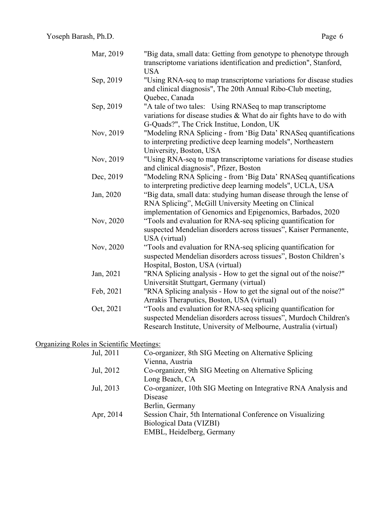| Mar, 2019 | <b>USA</b>     | "Big data, small data: Getting from genotype to phenotype through<br>transcriptome variations identification and prediction", Stanford,                                                                |
|-----------|----------------|--------------------------------------------------------------------------------------------------------------------------------------------------------------------------------------------------------|
| Sep, 2019 | Quebec, Canada | "Using RNA-seq to map transcriptome variations for disease studies<br>and clinical diagnosis", The 20th Annual Ribo-Club meeting,                                                                      |
| Sep, 2019 |                | "A tale of two tales: Using RNASeq to map transcriptome<br>variations for disease studies & What do air fights have to do with<br>G-Quads?", The Crick Institue, London, UK                            |
| Nov, 2019 |                | "Modeling RNA Splicing - from 'Big Data' RNASeq quantifications<br>to interpreting predictive deep learning models", Northeastern<br>University, Boston, USA                                           |
| Nov, 2019 |                | "Using RNA-seq to map transcriptome variations for disease studies<br>and clinical diagnosis", Pfizer, Boston                                                                                          |
| Dec, 2019 |                | "Modeling RNA Splicing - from 'Big Data' RNASeq quantifications<br>to interpreting predictive deep learning models", UCLA, USA                                                                         |
| Jan, 2020 |                | "Big data, small data: studying human disease through the lense of<br>RNA Splicing", McGill University Meeting on Clinical<br>implementation of Genomics and Epigenomics, Barbados, 2020               |
| Nov, 2020 | USA (virtual)  | "Tools and evaluation for RNA-seq splicing quantification for<br>suspected Mendelian disorders across tissues", Kaiser Permanente,                                                                     |
| Nov, 2020 |                | "Tools and evaluation for RNA-seq splicing quantification for<br>suspected Mendelian disorders across tissues", Boston Children's<br>Hospital, Boston, USA (virtual)                                   |
| Jan, 2021 |                | "RNA Splicing analysis - How to get the signal out of the noise?"<br>Universität Stuttgart, Germany (virtual)                                                                                          |
| Feb, 2021 |                | "RNA Splicing analysis - How to get the signal out of the noise?"<br>Arrakis Theraputics, Boston, USA (virtual)                                                                                        |
| Oct, 2021 |                | "Tools and evaluation for RNA-seq splicing quantification for<br>suspected Mendelian disorders across tissues", Murdoch Children's<br>Research Institute, University of Melbourne, Australia (virtual) |

## Organizing Roles in Scientific Meetings:

| Jul, 2011 | Co-organizer, 8th SIG Meeting on Alternative Splicing          |
|-----------|----------------------------------------------------------------|
|           | Vienna, Austria                                                |
| Jul, 2012 | Co-organizer, 9th SIG Meeting on Alternative Splicing          |
|           | Long Beach, CA                                                 |
| Jul, 2013 | Co-organizer, 10th SIG Meeting on Integrative RNA Analysis and |
|           | Disease                                                        |
|           | Berlin, Germany                                                |
| Apr, 2014 | Session Chair, 5th International Conference on Visualizing     |
|           | Biological Data (VIZBI)                                        |
|           | EMBL, Heidelberg, Germany                                      |
|           |                                                                |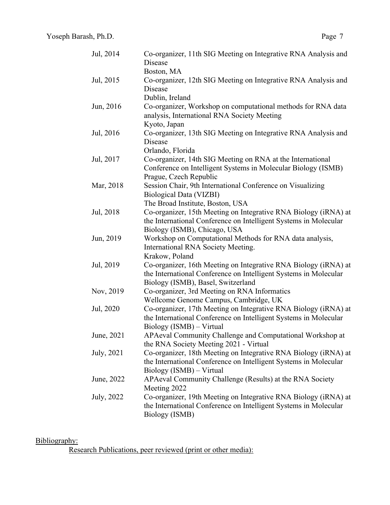| Jul, 2014  | Co-organizer, 11th SIG Meeting on Integrative RNA Analysis and<br>Disease                                                                                                                               |
|------------|---------------------------------------------------------------------------------------------------------------------------------------------------------------------------------------------------------|
|            | Boston, MA                                                                                                                                                                                              |
| Jul, 2015  | Co-organizer, 12th SIG Meeting on Integrative RNA Analysis and<br>Disease<br>Dublin, Ireland                                                                                                            |
| Jun, 2016  | Co-organizer, Workshop on computational methods for RNA data<br>analysis, International RNA Society Meeting                                                                                             |
| Jul, 2016  | Kyoto, Japan<br>Co-organizer, 13th SIG Meeting on Integrative RNA Analysis and<br>Disease<br>Orlando, Florida                                                                                           |
| Jul, 2017  | Co-organizer, 14th SIG Meeting on RNA at the International<br>Conference on Intelligent Systems in Molecular Biology (ISMB)<br>Prague, Czech Republic                                                   |
| Mar, 2018  | Session Chair, 9th International Conference on Visualizing<br>Biological Data (VIZBI)                                                                                                                   |
| Jul, 2018  | The Broad Institute, Boston, USA<br>Co-organizer, 15th Meeting on Integrative RNA Biology (iRNA) at<br>the International Conference on Intelligent Systems in Molecular<br>Biology (ISMB), Chicago, USA |
| Jun, 2019  | Workshop on Computational Methods for RNA data analysis,<br>International RNA Society Meeting.<br>Krakow, Poland                                                                                        |
| Jul, 2019  | Co-organizer, 16th Meeting on Integrative RNA Biology (iRNA) at<br>the International Conference on Intelligent Systems in Molecular<br>Biology (ISMB), Basel, Switzerland                               |
| Nov, 2019  | Co-organizer, 3rd Meeting on RNA Informatics<br>Wellcome Genome Campus, Cambridge, UK                                                                                                                   |
| Jul, 2020  | Co-organizer, 17th Meeting on Integrative RNA Biology (iRNA) at<br>the International Conference on Intelligent Systems in Molecular<br>Biology (ISMB) – Virtual                                         |
| June, 2021 | APAeval Community Challenge and Computational Workshop at<br>the RNA Society Meeting 2021 - Virtual                                                                                                     |
| July, 2021 | Co-organizer, 18th Meeting on Integrative RNA Biology (iRNA) at<br>the International Conference on Intelligent Systems in Molecular<br>Biology (ISMB) – Virtual                                         |
| June, 2022 | APAeval Community Challenge (Results) at the RNA Society<br>Meeting 2022                                                                                                                                |
| July, 2022 | Co-organizer, 19th Meeting on Integrative RNA Biology (iRNA) at<br>the International Conference on Intelligent Systems in Molecular<br>Biology (ISMB)                                                   |

#### Bibliography:

Research Publications, peer reviewed (print or other media):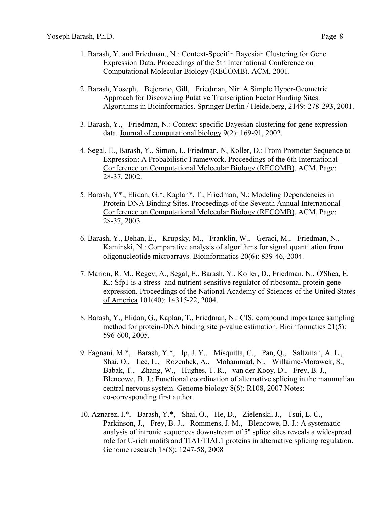- 1. Barash, Y. and Friedman,, N.: Context-Specifin Bayesian Clustering for Gene Expression Data. Proceedings of the 5th International Conference on Computational Molecular Biology (RECOMB). ACM, 2001.
- 2. Barash, Yoseph, Bejerano, Gill, Friedman, Nir: A Simple Hyper-Geometric Approach for Discovering Putative Transcription Factor Binding Sites. Algorithms in Bioinformatics. Springer Berlin / Heidelberg, 2149: 278-293, 2001.
- 3. Barash, Y., Friedman, N.: Context-specific Bayesian clustering for gene expression data. Journal of computational biology 9(2): 169-91, 2002.
- 4. Segal, E., Barash, Y., Simon, I., Friedman, N, Koller, D.: From Promoter Sequence to Expression: A Probabilistic Framework. Proceedings of the 6th International Conference on Computational Molecular Biology (RECOMB). ACM, Page: 28-37, 2002.
- 5. Barash, Y\*., Elidan, G.\*, Kaplan\*, T., Friedman, N.: Modeling Dependencies in Protein-DNA Binding Sites. Proceedings of the Seventh Annual International Conference on Computational Molecular Biology (RECOMB). ACM, Page: 28-37, 2003.
- 6. Barash, Y., Dehan, E., Krupsky, M., Franklin, W., Geraci, M., Friedman, N., Kaminski, N.: Comparative analysis of algorithms for signal quantitation from oligonucleotide microarrays. Bioinformatics 20(6): 839-46, 2004.
- 7. Marion, R. M., Regev, A., Segal, E., Barash, Y., Koller, D., Friedman, N., O'Shea, E. K.: Sfp1 is a stress- and nutrient-sensitive regulator of ribosomal protein gene expression. Proceedings of the National Academy of Sciences of the United States of America 101(40): 14315-22, 2004.
- 8. Barash, Y., Elidan, G., Kaplan, T., Friedman, N.: CIS: compound importance sampling method for protein-DNA binding site p-value estimation. Bioinformatics 21(5): 596-600, 2005.
- 9. Fagnani, M.\*, Barash, Y.\*, Ip, J. Y., Misquitta, C., Pan, Q., Saltzman, A. L., Shai, O., Lee, L., Rozenhek, A., Mohammad, N., Willaime-Morawek, S., Babak, T., Zhang, W., Hughes, T. R., van der Kooy, D., Frey, B. J., Blencowe, B. J.: Functional coordination of alternative splicing in the mammalian central nervous system. Genome biology 8(6): R108, 2007 Notes: co-corresponding first author.
- 10. Aznarez, I.\*, Barash, Y.\*, Shai, O., He, D., Zielenski, J., Tsui, L. C., Parkinson, J., Frey, B. J., Rommens, J. M., Blencowe, B. J.: A systematic analysis of intronic sequences downstream of 5'' splice sites reveals a widespread role for U-rich motifs and TIA1/TIAL1 proteins in alternative splicing regulation. Genome research 18(8): 1247-58, 2008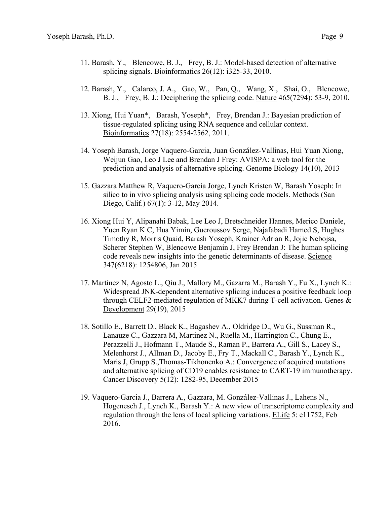- 11. Barash, Y., Blencowe, B. J., Frey, B. J.: Model-based detection of alternative splicing signals. Bioinformatics 26(12): i325-33, 2010.
- 12. Barash, Y., Calarco, J. A., Gao, W., Pan, Q., Wang, X., Shai, O., Blencowe, B. J., Frey, B. J.: Deciphering the splicing code. Nature 465(7294): 53-9, 2010.
- 13. Xiong, Hui Yuan\*, Barash, Yoseph\*, Frey, Brendan J.: Bayesian prediction of tissue-regulated splicing using RNA sequence and cellular context. Bioinformatics 27(18): 2554-2562, 2011.
- 14. Yoseph Barash, Jorge Vaquero-Garcia, Juan González-Vallinas, Hui Yuan Xiong, Weijun Gao, Leo J Lee and Brendan J Frey: AVISPA: a web tool for the prediction and analysis of alternative splicing. Genome Biology 14(10), 2013
- 15. Gazzara Matthew R, Vaquero-Garcia Jorge, Lynch Kristen W, Barash Yoseph: In silico to in vivo splicing analysis using splicing code models. Methods (San Diego, Calif.) 67(1): 3-12, May 2014.
- 16. Xiong Hui Y, Alipanahi Babak, Lee Leo J, Bretschneider Hannes, Merico Daniele, Yuen Ryan K C, Hua Yimin, Gueroussov Serge, Najafabadi Hamed S, Hughes Timothy R, Morris Quaid, Barash Yoseph, Krainer Adrian R, Jojic Nebojsa, Scherer Stephen W, Blencowe Benjamin J, Frey Brendan J: The human splicing code reveals new insights into the genetic determinants of disease. Science 347(6218): 1254806, Jan 2015
- 17. Martinez N, Agosto L., Qiu J., Mallory M., Gazarra M., Barash Y., Fu X., Lynch K.: Widespread JNK-dependent alternative splicing induces a positive feedback loop through CELF2-mediated regulation of MKK7 during T-cell activation. Genes & Development 29(19), 2015
- 18. Sotillo E., Barrett D., Black K., Bagashev A., Oldridge D., Wu G., Sussman R., Lanauze C., Gazzara M, Martinez N., Ruella M., Harrington C., Chung E., Perazzelli J., Hofmann T., Maude S., Raman P., Barrera A., Gill S., Lacey S., Melenhorst J., Allman D., Jacoby E., Fry T., Mackall C., Barash Y., Lynch K., Maris J, Grupp S.,Thomas-Tikhonenko A.: Convergence of acquired mutations and alternative splicing of CD19 enables resistance to CART-19 immunotherapy. Cancer Discovery 5(12): 1282-95, December 2015
- 19. Vaquero-Garcia J., Barrera A., Gazzara, M. González-Vallinas J., Lahens N., Hogenesch J., Lynch K., Barash Y.: A new view of transcriptome complexity and regulation through the lens of local splicing variations. ELife 5: e11752, Feb 2016.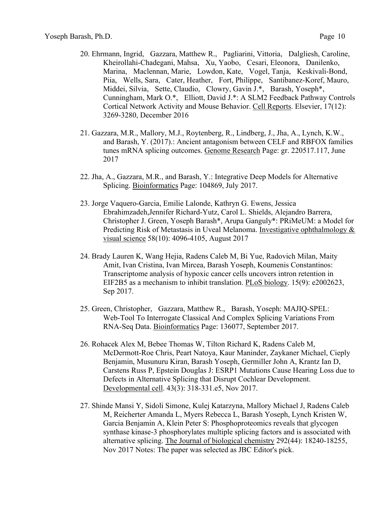- 20. Ehrmann, Ingrid, Gazzara, Matthew R., Pagliarini, Vittoria, Dalgliesh, Caroline, Kheirollahi-Chadegani, Mahsa, Xu, Yaobo, Cesari, Eleonora, Danilenko, Marina, Maclennan, Marie, Lowdon, Kate, Vogel, Tanja, Keskivali-Bond, Piia, Wells, Sara, Cater, Heather, Fort, Philippe, Santibanez-Koref, Mauro, Middei, Silvia, Sette, Claudio, Clowry, Gavin J.\*, Barash, Yoseph\*, Cunningham, Mark O.\*, Elliott, David J.\*: A SLM2 Feedback Pathway Controls Cortical Network Activity and Mouse Behavior. Cell Reports. Elsevier, 17(12): 3269-3280, December 2016
- 21. Gazzara, M.R., Mallory, M.J., Roytenberg, R., Lindberg, J., Jha, A., Lynch, K.W., and Barash, Y. (2017).: Ancient antagonism between CELF and RBFOX families tunes mRNA splicing outcomes. Genome Research Page: gr. 220517.117, June 2017
- 22. Jha, A., Gazzara, M.R., and Barash, Y.: Integrative Deep Models for Alternative Splicing. Bioinformatics Page: 104869, July 2017.
- 23. Jorge Vaquero-Garcia, Emilie Lalonde, Kathryn G. Ewens, Jessica Ebrahimzadeh,Jennifer Richard-Yutz, Carol L. Shields, Alejandro Barrera, Christopher J. Green, Yoseph Barash\*, Arupa Ganguly\*: PRiMeUM: a Model for Predicting Risk of Metastasis in Uveal Melanoma. Investigative ophthalmology & visual science 58(10): 4096-4105, August 2017
- 24. Brady Lauren K, Wang Hejia, Radens Caleb M, Bi Yue, Radovich Milan, Maity Amit, Ivan Cristina, Ivan Mircea, Barash Yoseph, Koumenis Constantinos: Transcriptome analysis of hypoxic cancer cells uncovers intron retention in EIF2B5 as a mechanism to inhibit translation. PLoS biology. 15(9): e2002623, Sep 2017.
- 25. Green, Christopher, Gazzara, Matthew R., Barash, Yoseph: MAJIQ-SPEL: Web-Tool To Interrogate Classical And Complex Splicing Variations From RNA-Seq Data. Bioinformatics Page: 136077, September 2017.
- 26. Rohacek Alex M, Bebee Thomas W, Tilton Richard K, Radens Caleb M, McDermott-Roe Chris, Peart Natoya, Kaur Maninder, Zaykaner Michael, Cieply Benjamin, Musunuru Kiran, Barash Yoseph, Germiller John A, Krantz Ian D, Carstens Russ P, Epstein Douglas J: ESRP1 Mutations Cause Hearing Loss due to Defects in Alternative Splicing that Disrupt Cochlear Development. Developmental cell. 43(3): 318-331.e5, Nov 2017.
- 27. Shinde Mansi Y, Sidoli Simone, Kulej Katarzyna, Mallory Michael J, Radens Caleb M, Reicherter Amanda L, Myers Rebecca L, Barash Yoseph, Lynch Kristen W, Garcia Benjamin A, Klein Peter S: Phosphoproteomics reveals that glycogen synthase kinase-3 phosphorylates multiple splicing factors and is associated with alternative splicing. The Journal of biological chemistry 292(44): 18240-18255, Nov 2017 Notes: The paper was selected as JBC Editor's pick.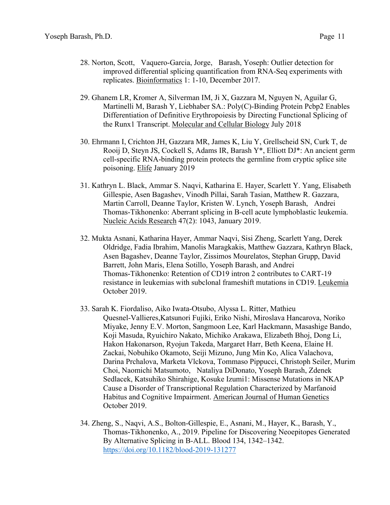- 28. Norton, Scott, Vaquero-Garcia, Jorge, Barash, Yoseph: Outlier detection for improved differential splicing quantification from RNA-Seq experiments with replicates. Bioinformatics 1: 1-10, December 2017.
- 29. Ghanem LR, Kromer A, Silverman IM, Ji X, Gazzara M, Nguyen N, Aguilar G, Martinelli M, Barash Y, Liebhaber SA.: Poly(C)-Binding Protein Pcbp2 Enables Differentiation of Definitive Erythropoiesis by Directing Functional Splicing of the Runx1 Transcript. Molecular and Cellular Biology July 2018
- 30. Ehrmann I, Crichton JH, Gazzara MR, James K, Liu Y, Grellscheid SN, Curk T, de Rooij D, Steyn JS, Cockell S, Adams IR, Barash Y\*, Elliott DJ\*: An ancient germ cell-specific RNA-binding protein protects the germline from cryptic splice site poisoning. Elife January 2019
- 31. Kathryn L. Black, Ammar S. Naqvi, Katharina E. Hayer, Scarlett Y. Yang, Elisabeth Gillespie, Asen Bagashev, Vinodh Pillai, Sarah Tasian, Matthew R. Gazzara, Martin Carroll, Deanne Taylor, Kristen W. Lynch, Yoseph Barash, Andrei Thomas-Tikhonenko: Aberrant splicing in B-cell acute lymphoblastic leukemia. Nucleic Acids Research 47(2): 1043, January 2019.
- 32. Mukta Asnani, Katharina Hayer, Ammar Naqvi, Sisi Zheng, Scarlett Yang, Derek Oldridge, Fadia Ibrahim, Manolis Maragkakis, Matthew Gazzara, Kathryn Black, Asen Bagashev, Deanne Taylor, Zissimos Mourelatos, Stephan Grupp, David Barrett, John Maris, Elena Sotillo, Yoseph Barash, and Andrei Thomas-Tikhonenko: Retention of CD19 intron 2 contributes to CART-19 resistance in leukemias with subclonal frameshift mutations in CD19. Leukemia October 2019.
- 33. Sarah K. Fiordaliso, Aiko Iwata-Otsubo, Alyssa L. Ritter, Mathieu Quesnel-Vallieres,Katsunori Fujiki, Eriko Nishi, Miroslava Hancarova, Noriko Miyake, Jenny E.V. Morton, Sangmoon Lee, Karl Hackmann, Masashige Bando, Koji Masuda, Ryuichiro Nakato, Michiko Arakawa, Elizabeth Bhoj, Dong Li, Hakon Hakonarson, Ryojun Takeda, Margaret Harr, Beth Keena, Elaine H. Zackai, Nobuhiko Okamoto, Seiji Mizuno, Jung Min Ko, Alica Valachova, Darina Prchalova, Marketa Vlckova, Tommaso Pippucci, Christoph Seiler, Murim Choi, Naomichi Matsumoto, Nataliya DiDonato, Yoseph Barash, Zdenek Sedlacek, Katsuhiko Shirahige, Kosuke Izumi1: Missense Mutations in NKAP Cause a Disorder of Transcriptional Regulation Characterized by Marfanoid Habitus and Cognitive Impairment. American Journal of Human Genetics October 2019.
- 34. Zheng, S., Naqvi, A.S., Bolton-Gillespie, E., Asnani, M., Hayer, K., Barash, Y., Thomas-Tikhonenko, A., 2019. Pipeline for Discovering Neoepitopes Generated By Alternative Splicing in B-ALL. Blood 134, 1342–1342. https://doi.org/10.1182/blood-2019-131277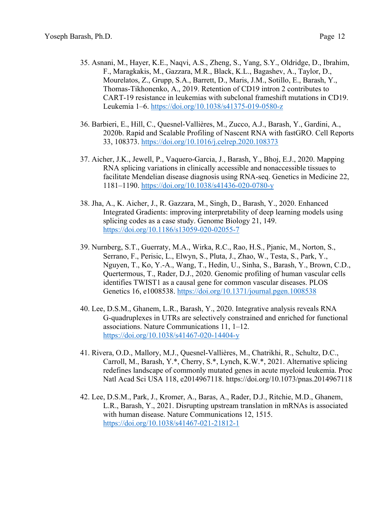- 35. Asnani, M., Hayer, K.E., Naqvi, A.S., Zheng, S., Yang, S.Y., Oldridge, D., Ibrahim, F., Maragkakis, M., Gazzara, M.R., Black, K.L., Bagashev, A., Taylor, D., Mourelatos, Z., Grupp, S.A., Barrett, D., Maris, J.M., Sotillo, E., Barash, Y., Thomas-Tikhonenko, A., 2019. Retention of CD19 intron 2 contributes to CART-19 resistance in leukemias with subclonal frameshift mutations in CD19. Leukemia 1–6. https://doi.org/10.1038/s41375-019-0580-z
- 36. Barbieri, E., Hill, C., Quesnel-Vallières, M., Zucco, A.J., Barash, Y., Gardini, A., 2020b. Rapid and Scalable Profiling of Nascent RNA with fastGRO. Cell Reports 33, 108373. https://doi.org/10.1016/j.celrep.2020.108373
- 37. Aicher, J.K., Jewell, P., Vaquero-Garcia, J., Barash, Y., Bhoj, E.J., 2020. Mapping RNA splicing variations in clinically accessible and nonaccessible tissues to facilitate Mendelian disease diagnosis using RNA-seq. Genetics in Medicine 22, 1181–1190. https://doi.org/10.1038/s41436-020-0780-y
- 38. Jha, A., K. Aicher, J., R. Gazzara, M., Singh, D., Barash, Y., 2020. Enhanced Integrated Gradients: improving interpretability of deep learning models using splicing codes as a case study. Genome Biology 21, 149. https://doi.org/10.1186/s13059-020-02055-7
- 39. Nurnberg, S.T., Guerraty, M.A., Wirka, R.C., Rao, H.S., Pjanic, M., Norton, S., Serrano, F., Perisic, L., Elwyn, S., Pluta, J., Zhao, W., Testa, S., Park, Y., Nguyen, T., Ko, Y.-A., Wang, T., Hedin, U., Sinha, S., Barash, Y., Brown, C.D., Quertermous, T., Rader, D.J., 2020. Genomic profiling of human vascular cells identifies TWIST1 as a causal gene for common vascular diseases. PLOS Genetics 16, e1008538. https://doi.org/10.1371/journal.pgen.1008538
- 40. Lee, D.S.M., Ghanem, L.R., Barash, Y., 2020. Integrative analysis reveals RNA G-quadruplexes in UTRs are selectively constrained and enriched for functional associations. Nature Communications 11, 1–12. https://doi.org/10.1038/s41467-020-14404-y
- 41. Rivera, O.D., Mallory, M.J., Quesnel-Vallières, M., Chatrikhi, R., Schultz, D.C., Carroll, M., Barash, Y.\*, Cherry, S.\*, Lynch, K.W.\*, 2021. Alternative splicing redefines landscape of commonly mutated genes in acute myeloid leukemia. Proc Natl Acad Sci USA 118, e2014967118. https://doi.org/10.1073/pnas.2014967118
- 42. Lee, D.S.M., Park, J., Kromer, A., Baras, A., Rader, D.J., Ritchie, M.D., Ghanem, L.R., Barash, Y., 2021. Disrupting upstream translation in mRNAs is associated with human disease. Nature Communications 12, 1515. https://doi.org/10.1038/s41467-021-21812-1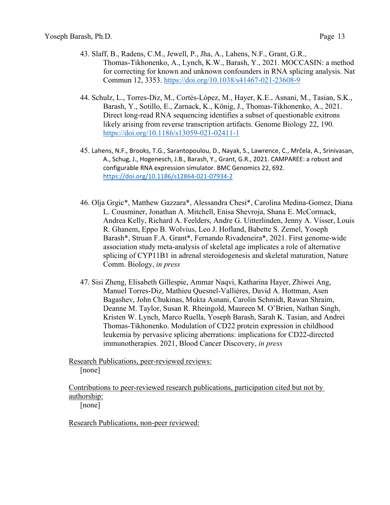- 43. Slaff, B., Radens, C.M., Jewell, P., Jha, A., Lahens, N.F., Grant, G.R., Thomas-Tikhonenko, A., Lynch, K.W., Barash, Y., 2021. MOCCASIN: a method for correcting for known and unknown confounders in RNA splicing analysis. Nat Commun 12, 3353. https://doi.org/10.1038/s41467-021-23608-9
- 44. Schulz, L., Torres-Diz, M., Cortés-López, M., Hayer, K.E., Asnani, M., Tasian, S.K., Barash, Y., Sotillo, E., Zarnack, K., König, J., Thomas-Tikhonenko, A., 2021. Direct long-read RNA sequencing identifies a subset of questionable exitrons likely arising from reverse transcription artifacts. Genome Biology 22, 190. https://doi.org/10.1186/s13059-021-02411-1
- 45. Lahens, N.F., Brooks, T.G., Sarantopoulou, D., Nayak, S., Lawrence, C., Mrčela, A., Srinivasan, A., Schug, J., Hogenesch, J.B., Barash, Y., Grant, G.R., 2021. CAMPAREE: a robust and configurable RNA expression simulator. BMC Genomics 22, 692. https://doi.org/10.1186/s12864‐021‐07934‐2
- 46. Olja Grgic\*, Matthew Gazzara\*, Alessandra Chesi\*, Carolina Medina-Gomez, Diana L. Cousminer, Jonathan A. Mitchell, Enisa Shevroja, Shana E. McCormack, Andrea Kelly, Richard A. Feelders, Andre G. Uitterlinden, Jenny A. Visser, Louis R. Ghanem, Eppo B. Wolvius, Leo J. Hofland, Babette S. Zemel, Yoseph Barash\*, Struan F.A. Grant\*, Fernando Rivadeneira\*, 2021. First genome-wide association study meta-analysis of skeletal age implicates a role of alternative splicing of CYP11B1 in adrenal steroidogenesis and skeletal maturation, Nature Comm. Biology, *in press*
- 47. Sisi Zheng, Elisabeth Gillespie, Ammar Naqvi, Katharina Hayer, Zhiwei Ang, Manuel Torres-Diz, Mathieu Quesnel-Vallières, David A. Hottman, Asen Bagashev, John Chukinas, Mukta Asnani, Carolin Schmidt, Rawan Shraim, Deanne M. Taylor, Susan R. Rheingold, Maureen M. O'Brien, Nathan Singh, Kristen W. Lynch, Marco Ruella, Yoseph Barash, Sarah K. Tasian, and Andrei Thomas-Tikhonenko. Modulation of CD22 protein expression in childhood leukemia by pervasive splicing aberrations: implications for CD22-directed immunotherapies. 2021, Blood Cancer Discovery, *in press*

 Research Publications, peer-reviewed reviews: [none]

 Contributions to peer-reviewed research publications, participation cited but not by authorship:

[none]

Research Publications, non-peer reviewed: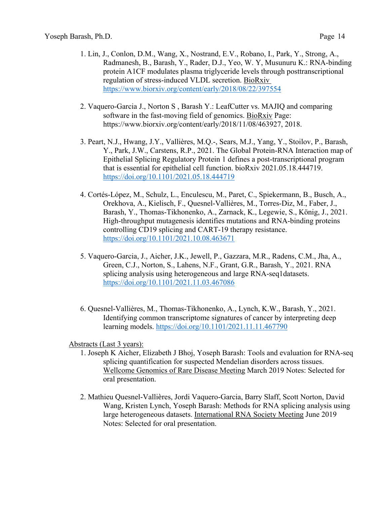- 1. Lin, J., Conlon, D.M., Wang, X., Nostrand, E.V., Robano, I., Park, Y., Strong, A., Radmanesh, B., Barash, Y., Rader, D.J., Yeo, W. Y, Musunuru K.: RNA-binding protein A1CF modulates plasma triglyceride levels through posttranscriptional regulation of stress-induced VLDL secretion. BioRxiv https://www.biorxiv.org/content/early/2018/08/22/397554
- 2. Vaquero-Garcia J., Norton S , Barash Y.: LeafCutter vs. MAJIQ and comparing software in the fast-moving field of genomics. BioRxiv Page: https://www.biorxiv.org/content/early/2018/11/08/463927, 2018.
- 3. Peart, N.J., Hwang, J.Y., Vallières, M.Q.-, Sears, M.J., Yang, Y., Stoilov, P., Barash, Y., Park, J.W., Carstens, R.P., 2021. The Global Protein-RNA Interaction map of Epithelial Splicing Regulatory Protein 1 defines a post-transcriptional program that is essential for epithelial cell function. bioRxiv 2021.05.18.444719. https://doi.org/10.1101/2021.05.18.444719
- 4. Cortés-López, M., Schulz, L., Enculescu, M., Paret, C., Spiekermann, B., Busch, A., Orekhova, A., Kielisch, F., Quesnel-Vallières, M., Torres-Diz, M., Faber, J., Barash, Y., Thomas-Tikhonenko, A., Zarnack, K., Legewie, S., König, J., 2021. High-throughput mutagenesis identifies mutations and RNA-binding proteins controlling CD19 splicing and CART-19 therapy resistance. https://doi.org/10.1101/2021.10.08.463671
- 5. Vaquero-Garcia, J., Aicher, J.K., Jewell, P., Gazzara, M.R., Radens, C.M., Jha, A., Green, C.J., Norton, S., Lahens, N.F., Grant, G.R., Barash, Y., 2021. RNA splicing analysis using heterogeneous and large RNA-seq1datasets. https://doi.org/10.1101/2021.11.03.467086
- 6. Quesnel-Vallières, M., Thomas-Tikhonenko, A., Lynch, K.W., Barash, Y., 2021. Identifying common transcriptome signatures of cancer by interpreting deep learning models. https://doi.org/10.1101/2021.11.11.467790

Abstracts (Last 3 years):

- 1. Joseph K Aicher, Elizabeth J Bhoj, Yoseph Barash: Tools and evaluation for RNA-seq splicing quantification for suspected Mendelian disorders across tissues. Wellcome Genomics of Rare Disease Meeting March 2019 Notes: Selected for oral presentation.
- 2. Mathieu Quesnel-Vallières, Jordi Vaquero-Garcia, Barry Slaff, Scott Norton, David Wang, Kristen Lynch, Yoseph Barash: Methods for RNA splicing analysis using large heterogeneous datasets. International RNA Society Meeting June 2019 Notes: Selected for oral presentation.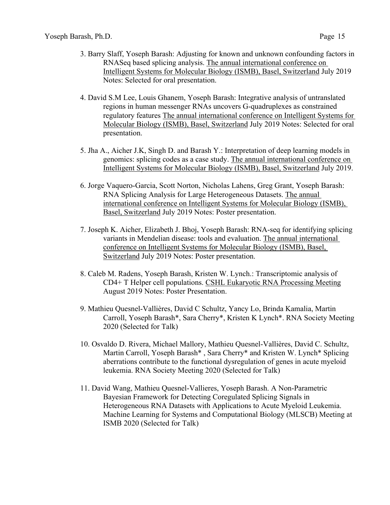- 3. Barry Slaff, Yoseph Barash: Adjusting for known and unknown confounding factors in RNASeq based splicing analysis. The annual international conference on Intelligent Systems for Molecular Biology (ISMB), Basel, Switzerland July 2019 Notes: Selected for oral presentation.
- 4. David S.M Lee, Louis Ghanem, Yoseph Barash: Integrative analysis of untranslated regions in human messenger RNAs uncovers G-quadruplexes as constrained regulatory features The annual international conference on Intelligent Systems for Molecular Biology (ISMB), Basel, Switzerland July 2019 Notes: Selected for oral presentation.
- 5. Jha A., Aicher J.K, Singh D. and Barash Y.: Interpretation of deep learning models in genomics: splicing codes as a case study. The annual international conference on Intelligent Systems for Molecular Biology (ISMB), Basel, Switzerland July 2019.
- 6. Jorge Vaquero-Garcia, Scott Norton, Nicholas Lahens, Greg Grant, Yoseph Barash: RNA Splicing Analysis for Large Heterogeneous Datasets. The annual international conference on Intelligent Systems for Molecular Biology (ISMB), Basel, Switzerland July 2019 Notes: Poster presentation.
- 7. Joseph K. Aicher, Elizabeth J. Bhoj, Yoseph Barash: RNA-seq for identifying splicing variants in Mendelian disease: tools and evaluation. The annual international conference on Intelligent Systems for Molecular Biology (ISMB), Basel, Switzerland July 2019 Notes: Poster presentation.
- 8. Caleb M. Radens, Yoseph Barash, Kristen W. Lynch.: Transcriptomic analysis of CD4+ T Helper cell populations. CSHL Eukaryotic RNA Processing Meeting August 2019 Notes: Poster Presentation.
- 9. Mathieu Quesnel-Vallières, David C Schultz, Yancy Lo, Brinda Kamalia, Martin Carroll, Yoseph Barash\*, Sara Cherry\*, Kristen K Lynch\*. RNA Society Meeting 2020 (Selected for Talk)
- 10. Osvaldo D. Rivera, Michael Mallory, Mathieu Quesnel-Vallières, David C. Schultz, Martin Carroll, Yoseph Barash\* , Sara Cherry\* and Kristen W. Lynch\* Splicing aberrations contribute to the functional dysregulation of genes in acute myeloid leukemia. RNA Society Meeting 2020 (Selected for Talk)
- 11. David Wang, Mathieu Quesnel-Vallieres, Yoseph Barash. A Non-Parametric Bayesian Framework for Detecting Coregulated Splicing Signals in Heterogeneous RNA Datasets with Applications to Acute Myeloid Leukemia. Machine Learning for Systems and Computational Biology (MLSCB) Meeting at ISMB 2020 (Selected for Talk)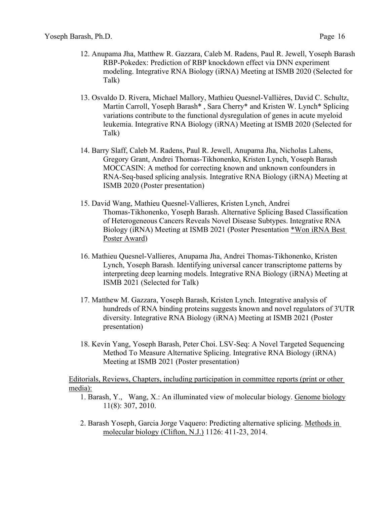- 12. Anupama Jha, Matthew R. Gazzara, Caleb M. Radens, Paul R. Jewell, Yoseph Barash RBP-Pokedex: Prediction of RBP knockdown effect via DNN experiment modeling. Integrative RNA Biology (iRNA) Meeting at ISMB 2020 (Selected for Talk)
- 13. Osvaldo D. Rivera, Michael Mallory, Mathieu Quesnel-Vallières, David C. Schultz, Martin Carroll, Yoseph Barash\* , Sara Cherry\* and Kristen W. Lynch\* Splicing variations contribute to the functional dysregulation of genes in acute myeloid leukemia. Integrative RNA Biology (iRNA) Meeting at ISMB 2020 (Selected for Talk)
- 14. Barry Slaff, Caleb M. Radens, Paul R. Jewell, Anupama Jha, Nicholas Lahens, Gregory Grant, Andrei Thomas-Tikhonenko, Kristen Lynch, Yoseph Barash MOCCASIN: A method for correcting known and unknown confounders in RNA-Seq-based splicing analysis. Integrative RNA Biology (iRNA) Meeting at ISMB 2020 (Poster presentation)
- 15. David Wang, Mathieu Quesnel-Vallieres, Kristen Lynch, Andrei Thomas-Tikhonenko, Yoseph Barash. Alternative Splicing Based Classification of Heterogeneous Cancers Reveals Novel Disease Subtypes. Integrative RNA Biology (iRNA) Meeting at ISMB 2021 (Poster Presentation \*Won iRNA Best Poster Award)
- 16. Mathieu Quesnel-Vallieres, Anupama Jha, Andrei Thomas-Tikhonenko, Kristen Lynch, Yoseph Barash. Identifying universal cancer transcriptome patterns by interpreting deep learning models. Integrative RNA Biology (iRNA) Meeting at ISMB 2021 (Selected for Talk)
- 17. Matthew M. Gazzara, Yoseph Barash, Kristen Lynch. Integrative analysis of hundreds of RNA binding proteins suggests known and novel regulators of 3'UTR diversity. Integrative RNA Biology (iRNA) Meeting at ISMB 2021 (Poster presentation)
- 18. Kevin Yang, Yoseph Barash, Peter Choi. LSV-Seq: A Novel Targeted Sequencing Method To Measure Alternative Splicing. Integrative RNA Biology (iRNA) Meeting at ISMB 2021 (Poster presentation)

 Editorials, Reviews, Chapters, including participation in committee reports (print or other media):

- 1. Barash, Y., Wang, X.: An illuminated view of molecular biology. Genome biology 11(8): 307, 2010.
- 2. Barash Yoseph, Garcia Jorge Vaquero: Predicting alternative splicing. Methods in molecular biology (Clifton, N.J.) 1126: 411-23, 2014.